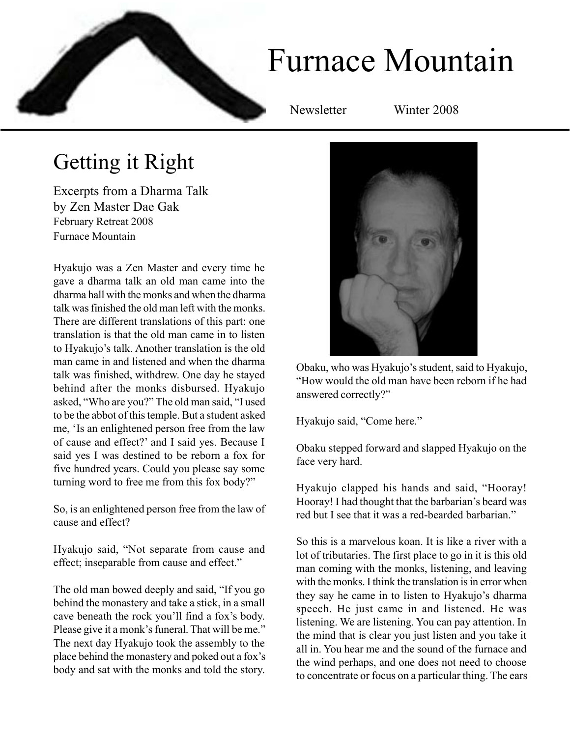# Furnace Mountain

Newsletter Winter 2008

## Getting it Right

Excerpts from a Dharma Talk by Zen Master Dae Gak February Retreat 2008 Furnace Mountain

Hyakujo was a Zen Master and every time he gave a dharma talk an old man came into the dharma hall with the monks and when the dharma talk was finished the old man left with the monks. There are different translations of this part: one translation is that the old man came in to listen to Hyakujo's talk. Another translation is the old man came in and listened and when the dharma talk was finished, withdrew. One day he stayed behind after the monks disbursed. Hyakujo asked, "Who are you?" The old man said, "I used to be the abbot of this temple. But a student asked me, 'Is an enlightened person free from the law of cause and effect?' and I said yes. Because I said yes I was destined to be reborn a fox for five hundred years. Could you please say some turning word to free me from this fox body?"

So, is an enlightened person free from the law of cause and effect?

Hyakujo said, "Not separate from cause and effect; inseparable from cause and effect."

The old man bowed deeply and said, "If you go behind the monastery and take a stick, in a small cave beneath the rock you'll find a fox's body. Please give it a monk's funeral. That will be me." The next day Hyakujo took the assembly to the place behind the monastery and poked out a fox's body and sat with the monks and told the story.



Obaku, who was Hyakujo's student, said to Hyakujo, "How would the old man have been reborn if he had answered correctly?"

Hyakujo said, "Come here."

Obaku stepped forward and slapped Hyakujo on the face very hard.

Hyakujo clapped his hands and said, "Hooray! Hooray! I had thought that the barbarian's beard was red but I see that it was a red-bearded barbarian."

So this is a marvelous koan. It is like a river with a lot of tributaries. The first place to go in it is this old man coming with the monks, listening, and leaving with the monks. I think the translation is in error when they say he came in to listen to Hyakujo's dharma speech. He just came in and listened. He was listening. We are listening. You can pay attention. In the mind that is clear you just listen and you take it all in. You hear me and the sound of the furnace and the wind perhaps, and one does not need to choose to concentrate or focus on a particular thing. The ears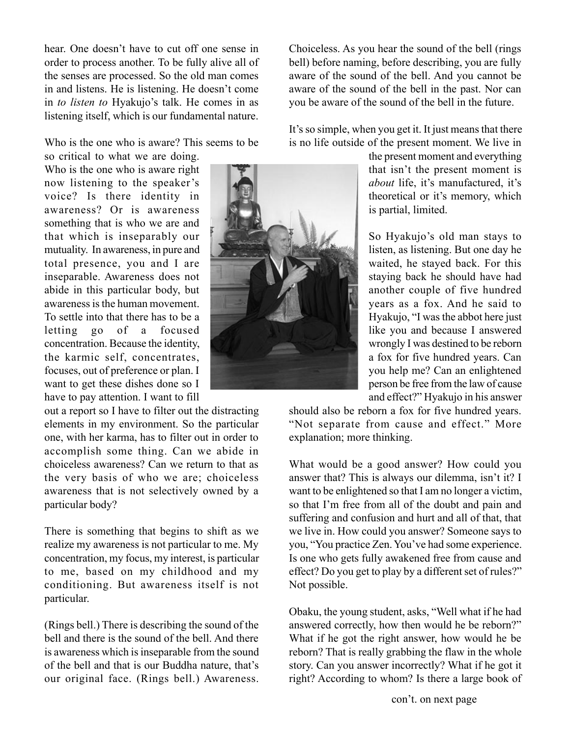hear. One doesn't have to cut off one sense in order to process another. To be fully alive all of the senses are processed. So the old man comes in and listens. He is listening. He doesn't come in *to listen to* Hyakujo's talk. He comes in as listening itself, which is our fundamental nature.

Who is the one who is aware? This seems to be

so critical to what we are doing. Who is the one who is aware right now listening to the speaker's voice? Is there identity in awareness? Or is awareness something that is who we are and that which is inseparably our mutuality. In awareness, in pure and total presence, you and I are inseparable. Awareness does not abide in this particular body, but awareness is the human movement. To settle into that there has to be a letting go of a focused concentration. Because the identity, the karmic self, concentrates, focuses, out of preference or plan. I want to get these dishes done so I have to pay attention. I want to fill

out a report so I have to filter out the distracting elements in my environment. So the particular one, with her karma, has to filter out in order to accomplish some thing. Can we abide in choiceless awareness? Can we return to that as the very basis of who we are; choiceless awareness that is not selectively owned by a particular body?

There is something that begins to shift as we realize my awareness is not particular to me. My concentration, my focus, my interest, is particular to me, based on my childhood and my conditioning. But awareness itself is not particular.

(Rings bell.) There is describing the sound of the bell and there is the sound of the bell. And there is awareness which is inseparable from the sound of the bell and that is our Buddha nature, that's our original face. (Rings bell.) Awareness.

Choiceless. As you hear the sound of the bell (rings bell) before naming, before describing, you are fully aware of the sound of the bell. And you cannot be aware of the sound of the bell in the past. Nor can you be aware of the sound of the bell in the future.

It's so simple, when you get it. It just means that there is no life outside of the present moment. We live in

> the present moment and everything that isn't the present moment is *about* life, it's manufactured, it's theoretical or it's memory, which is partial, limited.

> So Hyakujo's old man stays to listen, as listening. But one day he waited, he stayed back. For this staying back he should have had another couple of five hundred years as a fox. And he said to Hyakujo, "I was the abbot here just like you and because I answered wrongly I was destined to be reborn a fox for five hundred years. Can you help me? Can an enlightened person be free from the law of cause and effect?" Hyakujo in his answer

should also be reborn a fox for five hundred years. "Not separate from cause and effect." More explanation; more thinking.

What would be a good answer? How could you answer that? This is always our dilemma, isn't it? I want to be enlightened so that I am no longer a victim, so that I'm free from all of the doubt and pain and suffering and confusion and hurt and all of that, that we live in. How could you answer? Someone says to you, "You practice Zen. You've had some experience. Is one who gets fully awakened free from cause and effect? Do you get to play by a different set of rules?" Not possible.

Obaku, the young student, asks, "Well what if he had answered correctly, how then would he be reborn?" What if he got the right answer, how would he be reborn? That is really grabbing the flaw in the whole story. Can you answer incorrectly? What if he got it right? According to whom? Is there a large book of

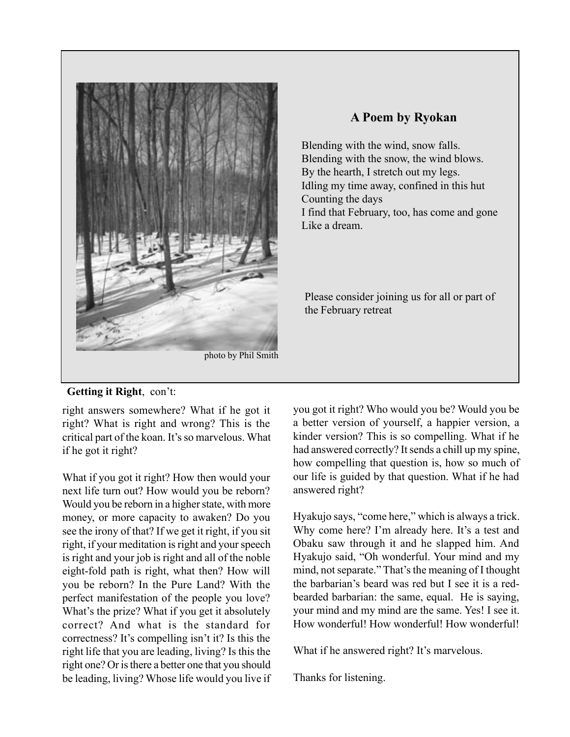

#### **A Poem by Ryokan**

Blending with the wind, snow falls. Blending with the snow, the wind blows. By the hearth, I stretch out my legs. Idling my time away, confined in this hut Counting the days I find that February, too, has come and gone Like a dream.

Please consider joining us for all or part of the February retreat

#### **Getting it Right**, con't:

right answers somewhere? What if he got it right? What is right and wrong? This is the critical part of the koan. It's so marvelous. What if he got it right?

What if you got it right? How then would your next life turn out? How would you be reborn? Would you be reborn in a higher state, with more money, or more capacity to awaken? Do you see the irony of that? If we get it right, if you sit right, if your meditation is right and your speech is right and your job is right and all of the noble eight-fold path is right, what then? How will you be reborn? In the Pure Land? With the perfect manifestation of the people you love? What's the prize? What if you get it absolutely correct? And what is the standard for correctness? It's compelling isn't it? Is this the right life that you are leading, living? Is this the right one? Or is there a better one that you should be leading, living? Whose life would you live if

you got it right? Who would you be? Would you be a better version of yourself, a happier version, a kinder version? This is so compelling. What if he had answered correctly? It sends a chill up my spine, how compelling that question is, how so much of our life is guided by that question. What if he had answered right?

Hyakujo says, "come here," which is always a trick. Why come here? I'm already here. It's a test and Obaku saw through it and he slapped him. And Hyakujo said, "Oh wonderful. Your mind and my mind, not separate." That's the meaning of I thought the barbarian's beard was red but I see it is a redbearded barbarian: the same, equal. He is saying, your mind and my mind are the same. Yes! I see it. How wonderful! How wonderful! How wonderful!

What if he answered right? It's marvelous.

Thanks for listening.